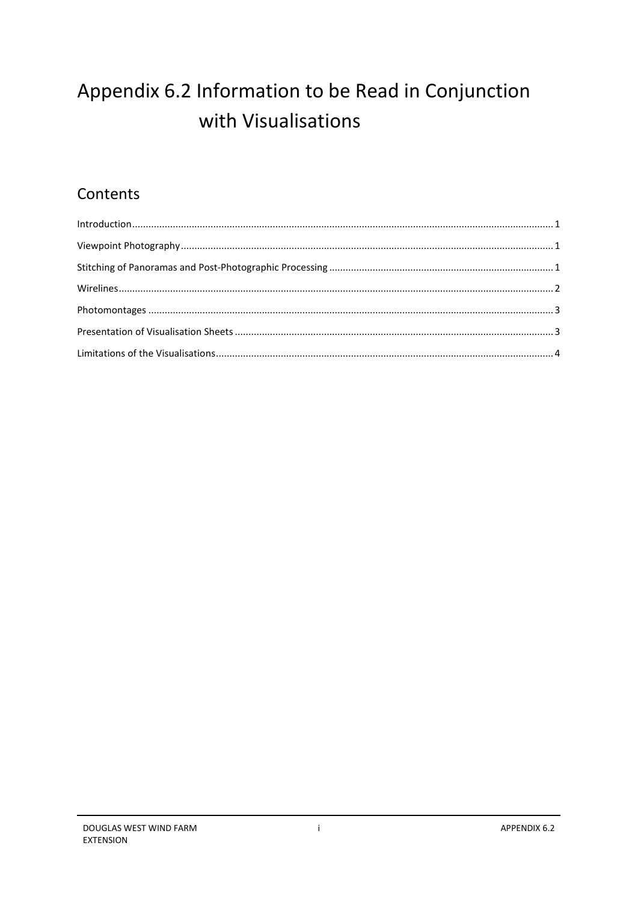# Appendix 6.2 Information to be Read in Conjunction with Visualisations

# Contents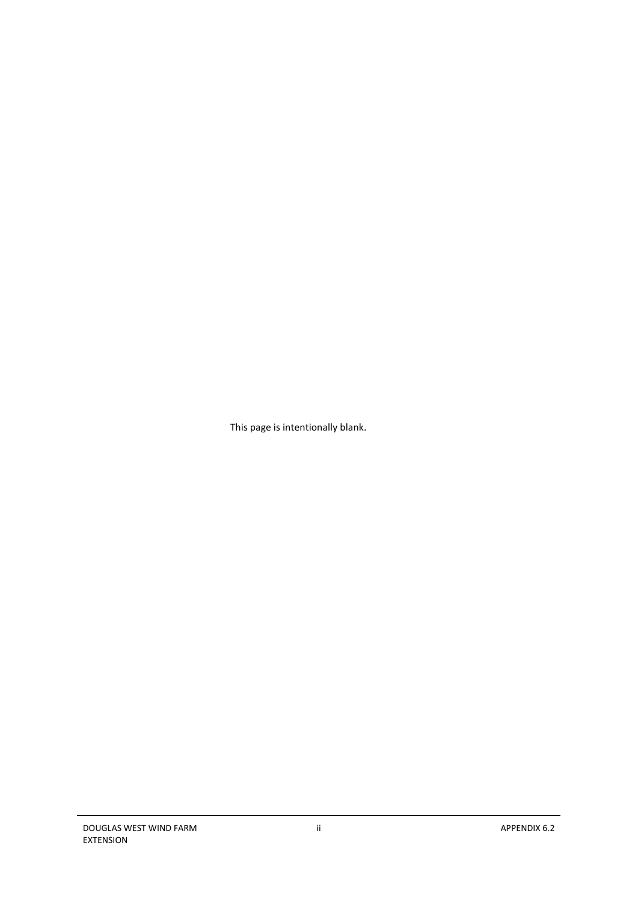This page is intentionally blank.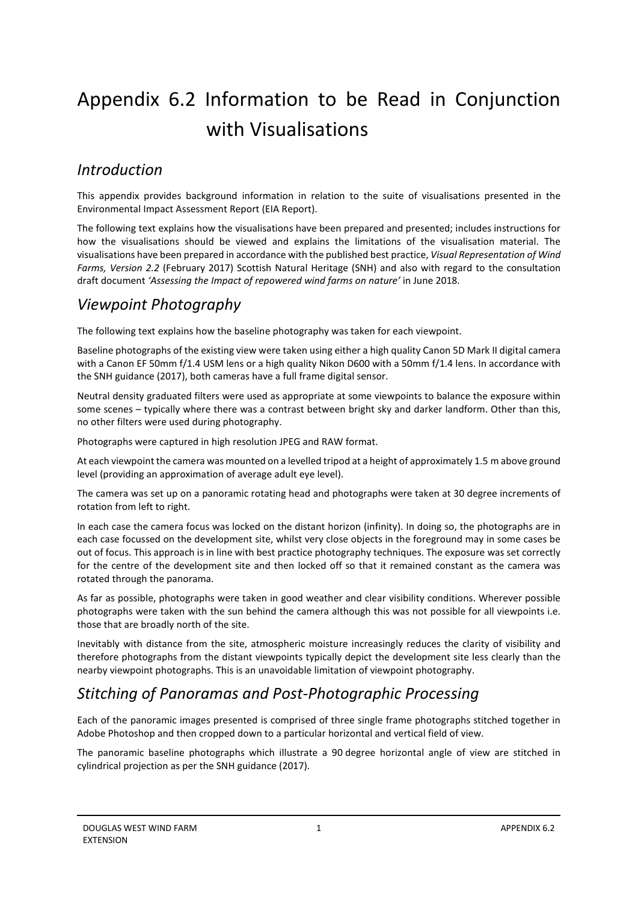# Appendix 6.2 Information to be Read in Conjunction with Visualisations

## <span id="page-2-0"></span>*Introduction*

This appendix provides background information in relation to the suite of visualisations presented in the Environmental Impact Assessment Report (EIA Report).

The following text explains how the visualisations have been prepared and presented; includes instructions for how the visualisations should be viewed and explains the limitations of the visualisation material. The visualisations have been prepared in accordance with the published best practice, *Visual Representation of Wind Farms, Version 2.2* (February 2017) Scottish Natural Heritage (SNH) and also with regard to the consultation draft document *'Assessing the Impact of repowered wind farms on nature'* in June 2018.

## <span id="page-2-1"></span>*Viewpoint Photography*

The following text explains how the baseline photography was taken for each viewpoint.

Baseline photographs of the existing view were taken using either a high quality Canon 5D Mark II digital camera with a Canon EF 50mm f/1.4 USM lens or a high quality Nikon D600 with a 50mm f/1.4 lens. In accordance with the SNH guidance (2017), both cameras have a full frame digital sensor.

Neutral density graduated filters were used as appropriate at some viewpoints to balance the exposure within some scenes – typically where there was a contrast between bright sky and darker landform. Other than this, no other filters were used during photography.

Photographs were captured in high resolution JPEG and RAW format.

At each viewpoint the camera was mounted on a levelled tripod at a height of approximately 1.5 m above ground level (providing an approximation of average adult eye level).

The camera was set up on a panoramic rotating head and photographs were taken at 30 degree increments of rotation from left to right.

In each case the camera focus was locked on the distant horizon (infinity). In doing so, the photographs are in each case focussed on the development site, whilst very close objects in the foreground may in some cases be out of focus. This approach is in line with best practice photography techniques. The exposure was set correctly for the centre of the development site and then locked off so that it remained constant as the camera was rotated through the panorama.

As far as possible, photographs were taken in good weather and clear visibility conditions. Wherever possible photographs were taken with the sun behind the camera although this was not possible for all viewpoints i.e. those that are broadly north of the site.

Inevitably with distance from the site, atmospheric moisture increasingly reduces the clarity of visibility and therefore photographs from the distant viewpoints typically depict the development site less clearly than the nearby viewpoint photographs. This is an unavoidable limitation of viewpoint photography.

# <span id="page-2-2"></span>*Stitching of Panoramas and Post-Photographic Processing*

Each of the panoramic images presented is comprised of three single frame photographs stitched together in Adobe Photoshop and then cropped down to a particular horizontal and vertical field of view.

The panoramic baseline photographs which illustrate a 90 degree horizontal angle of view are stitched in cylindrical projection as per the SNH guidance (2017).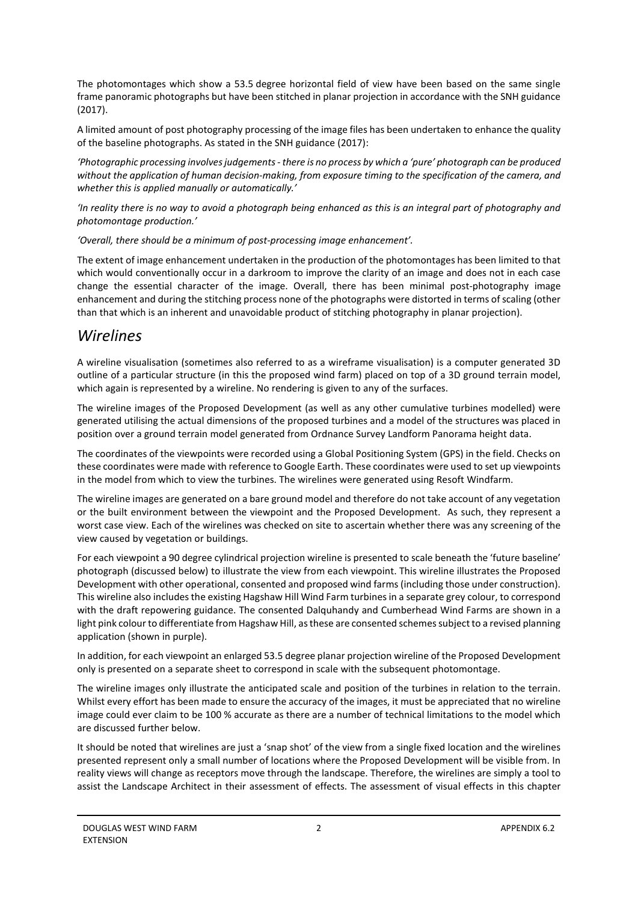The photomontages which show a 53.5 degree horizontal field of view have been based on the same single frame panoramic photographs but have been stitched in planar projection in accordance with the SNH guidance (2017).

A limited amount of post photography processing of the image files has been undertaken to enhance the quality of the baseline photographs. As stated in the SNH guidance (2017):

*'Photographic processing involves judgements -there is no process by which a 'pure' photograph can be produced without the application of human decision-making, from exposure timing to the specification of the camera, and whether this is applied manually or automatically.'*

*'In reality there is no way to avoid a photograph being enhanced as this is an integral part of photography and photomontage production.'* 

*'Overall, there should be a minimum of post-processing image enhancement'.*

The extent of image enhancement undertaken in the production of the photomontages has been limited to that which would conventionally occur in a darkroom to improve the clarity of an image and does not in each case change the essential character of the image. Overall, there has been minimal post-photography image enhancement and during the stitching process none of the photographs were distorted in terms of scaling (other than that which is an inherent and unavoidable product of stitching photography in planar projection).

### <span id="page-3-0"></span>*Wirelines*

A wireline visualisation (sometimes also referred to as a wireframe visualisation) is a computer generated 3D outline of a particular structure (in this the proposed wind farm) placed on top of a 3D ground terrain model, which again is represented by a wireline. No rendering is given to any of the surfaces.

The wireline images of the Proposed Development (as well as any other cumulative turbines modelled) were generated utilising the actual dimensions of the proposed turbines and a model of the structures was placed in position over a ground terrain model generated from Ordnance Survey Landform Panorama height data.

The coordinates of the viewpoints were recorded using a Global Positioning System (GPS) in the field. Checks on these coordinates were made with reference to Google Earth. These coordinates were used to set up viewpoints in the model from which to view the turbines. The wirelines were generated using Resoft Windfarm.

The wireline images are generated on a bare ground model and therefore do not take account of any vegetation or the built environment between the viewpoint and the Proposed Development. As such, they represent a worst case view. Each of the wirelines was checked on site to ascertain whether there was any screening of the view caused by vegetation or buildings.

For each viewpoint a 90 degree cylindrical projection wireline is presented to scale beneath the 'future baseline' photograph (discussed below) to illustrate the view from each viewpoint. This wireline illustrates the Proposed Development with other operational, consented and proposed wind farms (including those under construction). This wireline also includes the existing Hagshaw Hill Wind Farm turbinesin a separate grey colour, to correspond with the draft repowering guidance. The consented Dalquhandy and Cumberhead Wind Farms are shown in a light pink colour to differentiate from Hagshaw Hill, as these are consented schemes subject to a revised planning application (shown in purple).

In addition, for each viewpoint an enlarged 53.5 degree planar projection wireline of the Proposed Development only is presented on a separate sheet to correspond in scale with the subsequent photomontage.

The wireline images only illustrate the anticipated scale and position of the turbines in relation to the terrain. Whilst every effort has been made to ensure the accuracy of the images, it must be appreciated that no wireline image could ever claim to be 100 % accurate as there are a number of technical limitations to the model which are discussed further below.

It should be noted that wirelines are just a 'snap shot' of the view from a single fixed location and the wirelines presented represent only a small number of locations where the Proposed Development will be visible from. In reality views will change as receptors move through the landscape. Therefore, the wirelines are simply a tool to assist the Landscape Architect in their assessment of effects. The assessment of visual effects in this chapter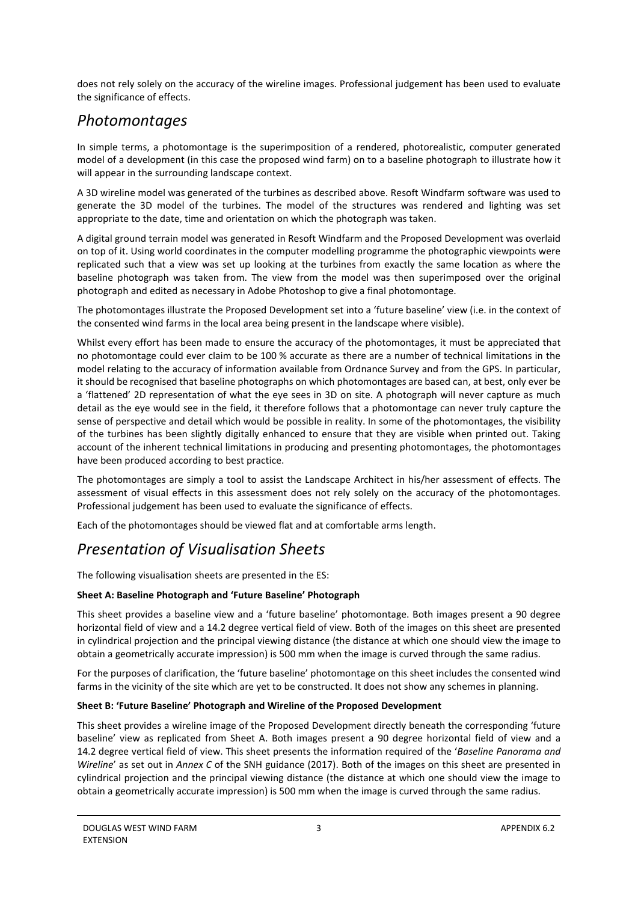does not rely solely on the accuracy of the wireline images. Professional judgement has been used to evaluate the significance of effects.

## <span id="page-4-0"></span>*Photomontages*

In simple terms, a photomontage is the superimposition of a rendered, photorealistic, computer generated model of a development (in this case the proposed wind farm) on to a baseline photograph to illustrate how it will appear in the surrounding landscape context.

A 3D wireline model was generated of the turbines as described above. Resoft Windfarm software was used to generate the 3D model of the turbines. The model of the structures was rendered and lighting was set appropriate to the date, time and orientation on which the photograph was taken.

A digital ground terrain model was generated in Resoft Windfarm and the Proposed Development was overlaid on top of it. Using world coordinates in the computer modelling programme the photographic viewpoints were replicated such that a view was set up looking at the turbines from exactly the same location as where the baseline photograph was taken from. The view from the model was then superimposed over the original photograph and edited as necessary in Adobe Photoshop to give a final photomontage.

The photomontages illustrate the Proposed Development set into a 'future baseline' view (i.e. in the context of the consented wind farms in the local area being present in the landscape where visible).

Whilst every effort has been made to ensure the accuracy of the photomontages, it must be appreciated that no photomontage could ever claim to be 100 % accurate as there are a number of technical limitations in the model relating to the accuracy of information available from Ordnance Survey and from the GPS. In particular, it should be recognised that baseline photographs on which photomontages are based can, at best, only ever be a 'flattened' 2D representation of what the eye sees in 3D on site. A photograph will never capture as much detail as the eye would see in the field, it therefore follows that a photomontage can never truly capture the sense of perspective and detail which would be possible in reality. In some of the photomontages, the visibility of the turbines has been slightly digitally enhanced to ensure that they are visible when printed out. Taking account of the inherent technical limitations in producing and presenting photomontages, the photomontages have been produced according to best practice.

The photomontages are simply a tool to assist the Landscape Architect in his/her assessment of effects. The assessment of visual effects in this assessment does not rely solely on the accuracy of the photomontages. Professional judgement has been used to evaluate the significance of effects.

Each of the photomontages should be viewed flat and at comfortable arms length.

# <span id="page-4-1"></span>*Presentation of Visualisation Sheets*

The following visualisation sheets are presented in the ES:

### **Sheet A: Baseline Photograph and 'Future Baseline' Photograph**

This sheet provides a baseline view and a 'future baseline' photomontage. Both images present a 90 degree horizontal field of view and a 14.2 degree vertical field of view. Both of the images on this sheet are presented in cylindrical projection and the principal viewing distance (the distance at which one should view the image to obtain a geometrically accurate impression) is 500 mm when the image is curved through the same radius.

For the purposes of clarification, the 'future baseline' photomontage on this sheet includes the consented wind farms in the vicinity of the site which are yet to be constructed. It does not show any schemes in planning.

#### **Sheet B: 'Future Baseline' Photograph and Wireline of the Proposed Development**

This sheet provides a wireline image of the Proposed Development directly beneath the corresponding 'future baseline' view as replicated from Sheet A. Both images present a 90 degree horizontal field of view and a 14.2 degree vertical field of view. This sheet presents the information required of the '*Baseline Panorama and Wireline*' as set out in *Annex C* of the SNH guidance (2017). Both of the images on this sheet are presented in cylindrical projection and the principal viewing distance (the distance at which one should view the image to obtain a geometrically accurate impression) is 500 mm when the image is curved through the same radius.